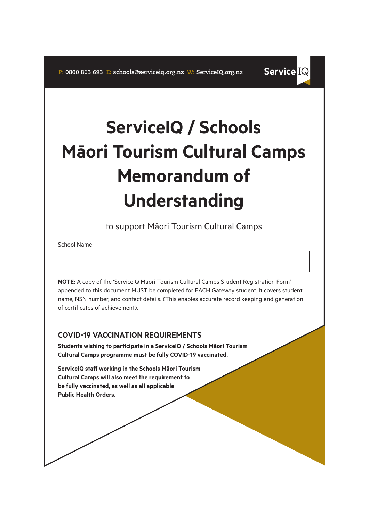# **ServiceIQ / Schools Māori Tourism Cultural Camps Memorandum of Understanding**

**Service IQ** 

to support Māori Tourism Cultural Camps

School Name

**NOTE:** A copy of the 'ServiceIQ Māori Tourism Cultural Camps Student Registration Form' appended to this document MUST be completed for EACH Gateway student. It covers student name, NSN number, and contact details. (This enables accurate record keeping and generation of certificates of achievement).

## **COVID-19 VACCINATION REQUIREMENTS**

**Students wishing to participate in a ServiceIQ / Schools Māori Tourism Cultural Camps programme must be fully COVID-19 vaccinated.**

**ServiceIQ staff working in the Schools Māori Tourism Cultural Camps will also meet the requirement to be fully vaccinated, as well as all applicable Public Health Orders.**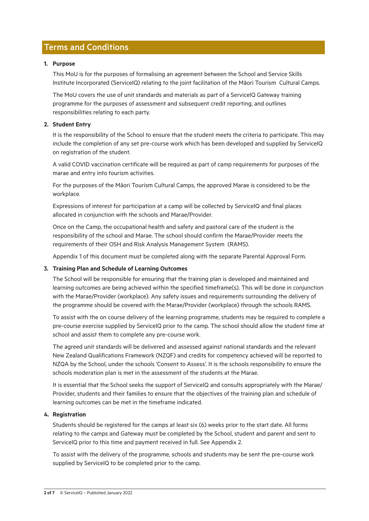## Terms and Conditions

#### **1. Purpose**

This MoU is for the purposes of formalising an agreement between the School and Service Skills Institute Incorporated (ServiceIQ) relating to the joint facilitation of the Māori Tourism Cultural Camps.

The MoU covers the use of unit standards and materials as part of a ServiceIQ Gateway training programme for the purposes of assessment and subsequent credit reporting, and outlines responsibilities relating to each party.

#### **2. Student Entry**

It is the responsibility of the School to ensure that the student meets the criteria to participate. This may include the completion of any set pre-course work which has been developed and supplied by ServiceIQ on registration of the student.

A valid COVID vaccination certificate will be required as part of camp requirements for purposes of the marae and entry into tourism activities.

For the purposes of the Māori Tourism Cultural Camps, the approved Marae is considered to be the workplace.

Expressions of interest for participation at a camp will be collected by ServiceIQ and final places allocated in conjunction with the schools and Marae/Provider.

Once on the Camp, the occupational health and safety and pastoral care of the student is the responsibility of the school and Marae. The school should confirm the Marae/Provider meets the requirements of their OSH and Risk Analysis Management System (RAMS).

Appendix 1 of this document must be completed along with the separate Parental Approval Form.

#### **3. Training Plan and Schedule of Learning Outcomes**

The School will be responsible for ensuring that the training plan is developed and maintained and learning outcomes are being achieved within the specified timeframe(s). This will be done in conjunction with the Marae/Provider (workplace). Any safety issues and requirements surrounding the delivery of the programme should be covered with the Marae/Provider (workplace) through the schools RAMS.

To assist with the on course delivery of the learning programme, students may be required to complete a pre-course exercise supplied by ServiceIQ prior to the camp. The school should allow the student time at school and assist them to complete any pre-course work.

The agreed unit standards will be delivered and assessed against national standards and the relevant New Zealand Qualifications Framework (NZQF) and credits for competency achieved will be reported to NZQA by the School, under the schools 'Consent to Assess'. It is the schools responsibility to ensure the schools moderation plan is met in the assessment of the students at the Marae.

It is essential that the School seeks the support of ServiceIQ and consults appropriately with the Marae/ Provider, students and their families to ensure that the objectives of the training plan and schedule of learning outcomes can be met in the timeframe indicated.

#### **4. Registration**

Students should be registered for the camps at least six (6) weeks prior to the start date. All forms relating to the camps and Gateway must be completed by the School, student and parent and sent to ServiceIQ prior to this time and payment received in full. See Appendix 2.

To assist with the delivery of the programme, schools and students may be sent the pre-course work supplied by ServiceIQ to be completed prior to the camp.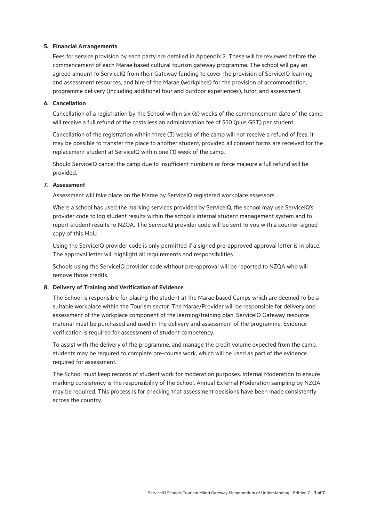#### **5. Financial Arrangements**

Fees for service provision by each party are detailed in Appendix 2. These will be reviewed before the commencement of each Marae based cultural tourism gateway programme. The school will pay an agreed amount to ServiceIQ from their Gateway funding to cover the provision of ServiceIQ learning and assessment resources, and hire of the Marae (workplace) for the provision of accommodation, programme delivery (including additional tour and outdoor experiences), tutor, and assessment.

#### **6. Cancellation**

Cancellation of a registration by the School within six (6) weeks of the commencement date of the camp will receive a full refund of the costs less an administration fee of \$50 (plus GST) per student.

Cancellation of the registration within three (3) weeks of the camp will not receive a refund of fees. It may be possible to transfer the place to another student, provided all consent forms are received for the replacement student at ServiceIQ within one (1) week of the camp.

Should ServiceIQ cancel the camp due to insufficient numbers or force majeure a full refund will be provided.

#### **7. Assessment**

Assessment will take place on the Marae by ServiceIQ registered workplace assessors.

Where a school has used the marking services provided by ServiceIQ, the school may use ServiceIQ's provider code to log student results within the school's internal student management system and to report student results to NZQA. The ServiceIQ provider code will be sent to you with a counter-signed copy of this MoU.

Using the ServiceIQ provider code is only permitted if a signed pre-approved approval letter is in place. The approval letter will highlight all requirements and responsibilities.

Schools using the ServiceIQ provider code without pre-approval will be reported to NZQA who will remove those credits.

#### **8. Delivery of Training and Verification of Evidence**

The School is responsible for placing the student at the Marae based Camps which are deemed to be a suitable workplace within the Tourism sector. The Marae/Provider will be responsible for delivery and assessment of the workplace component of the learning/training plan. ServiceIQ Gateway resource material must be purchased and used in the delivery and assessment of the programme. Evidence verification is required for assessment of student competency.

To assist with the delivery of the programme, and manage the credit volume expected from the camp, students may be required to complete pre-course work, which will be used as part of the evidence required for assessment.

The School must keep records of student work for moderation purposes. Internal Moderation to ensure marking consistency is the responsibility of the School. Annual External Moderation sampling by NZQA may be required. This process is for checking that assessment decisions have been made consistently across the country.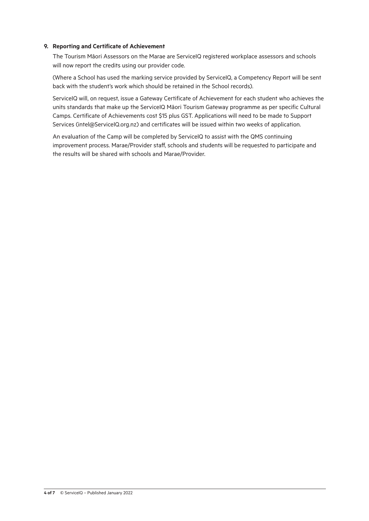#### **9. Reporting and Certificate of Achievement**

The Tourism Māori Assessors on the Marae are ServiceIQ registered workplace assessors and schools will now report the credits using our provider code.

(Where a School has used the marking service provided by ServiceIQ, a Competency Report will be sent back with the student's work which should be retained in the School records).

ServiceIQ will, on request, issue a Gateway Certificate of Achievement for each student who achieves the units standards that make up the ServiceIQ Māori Tourism Gateway programme as per specific Cultural Camps. Certificate of Achievements cost \$15 plus GST. Applications will need to be made to Support Services (intel@ServiceIQ.org.nz) and certificates will be issued within two weeks of application.

An evaluation of the Camp will be completed by ServiceIQ to assist with the QMS continuing improvement process. Marae/Provider staff, schools and students will be requested to participate and the results will be shared with schools and Marae/Provider.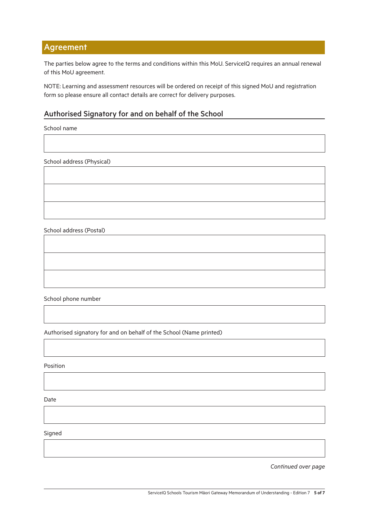## Agreement

The parties below agree to the terms and conditions within this MoU. ServiceIQ requires an annual renewal of this MoU agreement.

NOTE: Learning and assessment resources will be ordered on receipt of this signed MoU and registration form so please ensure all contact details are correct for delivery purposes.

### Authorised Signatory for and on behalf of the School

School name

School address (Physical)

School address (Postal)

School phone number

Authorised signatory for and on behalf of the School (Name printed)

Position

Date

Signed

*Continued over page*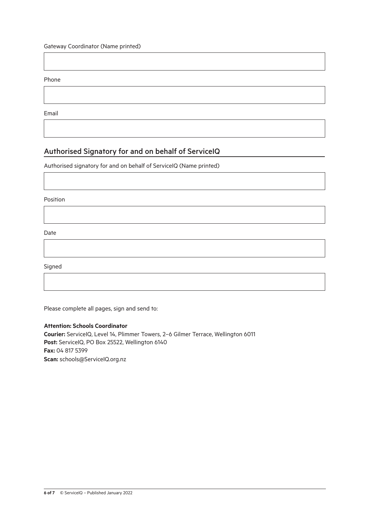Gateway Coordinator (Name printed)

Phone

Email

## Authorised Signatory for and on behalf of ServiceIQ

Authorised signatory for and on behalf of ServiceIQ (Name printed)

Position

Date

Signed

Please complete all pages, sign and send to:

#### **Attention: Schools Coordinator**

**Courier:** ServiceIQ, Level 14, Plimmer Towers, 2–6 Gilmer Terrace, Wellington 6011 Post: ServiceIQ, PO Box 25522, Wellington 6140 **Fax:** 04 817 5399 **Scan:** schools@ServiceIQ.org.nz